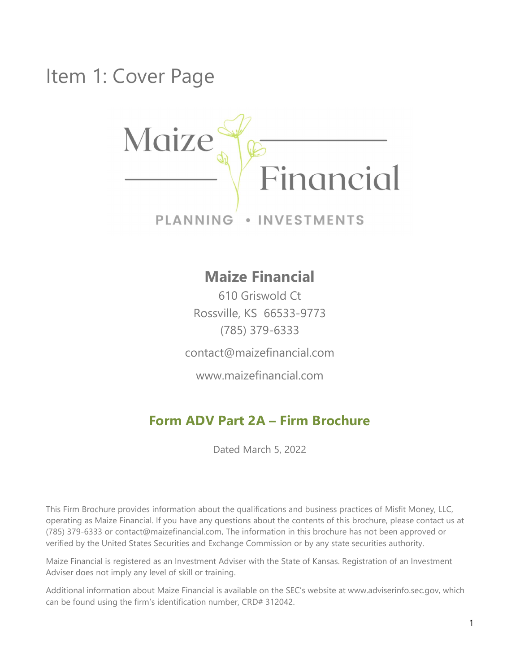Item 1: Cover Page



· INVESTMENTS **PLANNING** 

# Maize Financial

610 Griswold Ct Rossville, KS 66533-9773 (785) 379-6333

contact@maizefinancial.com

www.maizefinancial.com

# Form ADV Part 2A – Firm Brochure

Dated March 5, 2022

This Firm Brochure provides information about the qualifications and business practices of Misfit Money, LLC, operating as Maize Financial. If you have any questions about the contents of this brochure, please contact us at (785) 379-6333 or contact@maizefinancial.com. The information in this brochure has not been approved or verified by the United States Securities and Exchange Commission or by any state securities authority.

Maize Financial is registered as an Investment Adviser with the State of Kansas. Registration of an Investment Adviser does not imply any level of skill or training.

Additional information about Maize Financial is available on the SEC's website at www.adviserinfo.sec.gov, which can be found using the firm's identification number, CRD# 312042.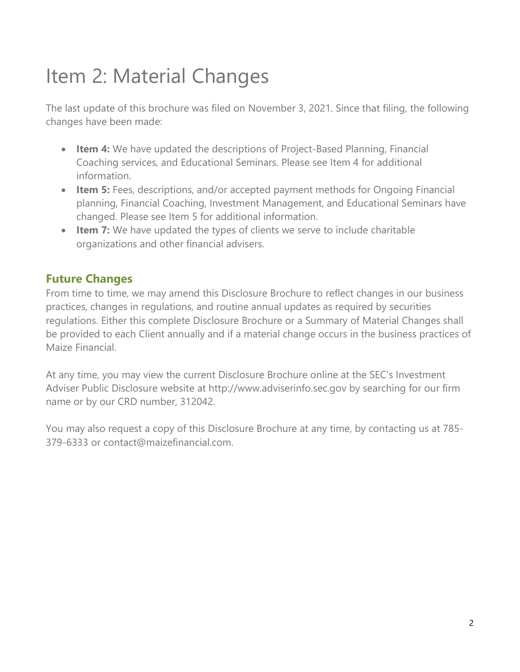# Item 2: Material Changes

The last update of this brochure was filed on November 3, 2021. Since that filing, the following changes have been made:

- Item 4: We have updated the descriptions of Project-Based Planning, Financial Coaching services, and Educational Seminars. Please see Item 4 for additional information.
- Item 5: Fees, descriptions, and/or accepted payment methods for Ongoing Financial planning, Financial Coaching, Investment Management, and Educational Seminars have changed. Please see Item 5 for additional information.
- Item 7: We have updated the types of clients we serve to include charitable organizations and other financial advisers.

### Future Changes

From time to time, we may amend this Disclosure Brochure to reflect changes in our business practices, changes in regulations, and routine annual updates as required by securities regulations. Either this complete Disclosure Brochure or a Summary of Material Changes shall be provided to each Client annually and if a material change occurs in the business practices of Maize Financial.

At any time, you may view the current Disclosure Brochure online at the SEC's Investment Adviser Public Disclosure website at http://www.adviserinfo.sec.gov by searching for our firm name or by our CRD number, 312042.

You may also request a copy of this Disclosure Brochure at any time, by contacting us at 785- 379-6333 or contact@maizefinancial.com.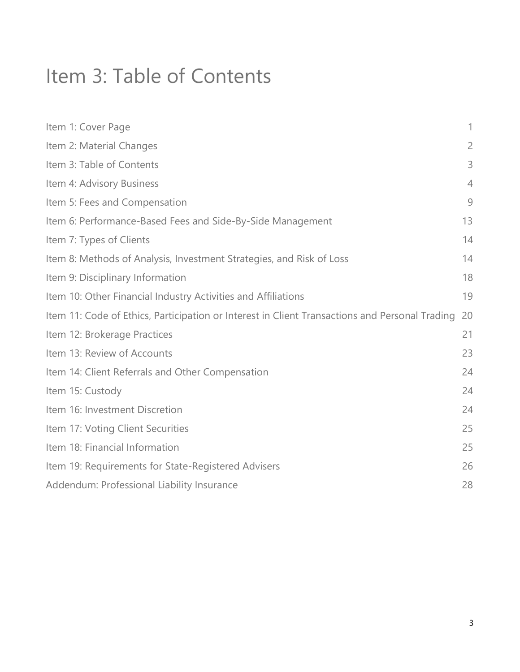# Item 3: Table of Contents

| Item 1: Cover Page                                                                             | 1              |
|------------------------------------------------------------------------------------------------|----------------|
| Item 2: Material Changes                                                                       | $\overline{2}$ |
| Item 3: Table of Contents                                                                      | 3              |
| Item 4: Advisory Business                                                                      | $\overline{4}$ |
| Item 5: Fees and Compensation                                                                  | 9              |
| Item 6: Performance-Based Fees and Side-By-Side Management                                     | 13             |
| Item 7: Types of Clients                                                                       | 14             |
| Item 8: Methods of Analysis, Investment Strategies, and Risk of Loss                           | 14             |
| Item 9: Disciplinary Information                                                               | 18             |
| Item 10: Other Financial Industry Activities and Affiliations                                  | 19             |
| Item 11: Code of Ethics, Participation or Interest in Client Transactions and Personal Trading | 20             |
| Item 12: Brokerage Practices                                                                   | 21             |
| Item 13: Review of Accounts                                                                    | 23             |
| Item 14: Client Referrals and Other Compensation                                               | 24             |
| Item 15: Custody                                                                               | 24             |
| Item 16: Investment Discretion                                                                 | 24             |
| Item 17: Voting Client Securities                                                              | 25             |
| Item 18: Financial Information                                                                 | 25             |
| Item 19: Requirements for State-Registered Advisers                                            | 26             |
| Addendum: Professional Liability Insurance                                                     | 28             |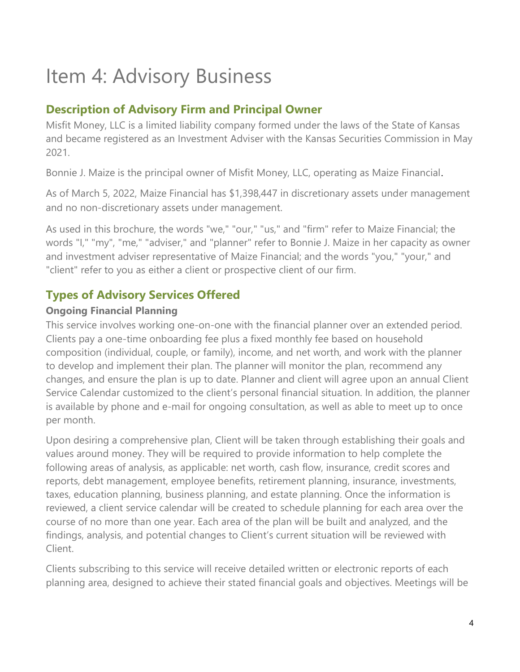# Item 4: Advisory Business

## Description of Advisory Firm and Principal Owner

Misfit Money, LLC is a limited liability company formed under the laws of the State of Kansas and became registered as an Investment Adviser with the Kansas Securities Commission in May 2021.

Bonnie J. Maize is the principal owner of Misfit Money, LLC, operating as Maize Financial.

As of March 5, 2022, Maize Financial has \$1,398,447 in discretionary assets under management and no non-discretionary assets under management.

As used in this brochure, the words "we," "our," "us," and "firm" refer to Maize Financial; the words "I," "my", "me," "adviser," and "planner" refer to Bonnie J. Maize in her capacity as owner and investment adviser representative of Maize Financial; and the words "you," "your," and "client" refer to you as either a client or prospective client of our firm.

# Types of Advisory Services Offered

#### Ongoing Financial Planning

This service involves working one-on-one with the financial planner over an extended period. Clients pay a one-time onboarding fee plus a fixed monthly fee based on household composition (individual, couple, or family), income, and net worth, and work with the planner to develop and implement their plan. The planner will monitor the plan, recommend any changes, and ensure the plan is up to date. Planner and client will agree upon an annual Client Service Calendar customized to the client's personal financial situation. In addition, the planner is available by phone and e-mail for ongoing consultation, as well as able to meet up to once per month.

Upon desiring a comprehensive plan, Client will be taken through establishing their goals and values around money. They will be required to provide information to help complete the following areas of analysis, as applicable: net worth, cash flow, insurance, credit scores and reports, debt management, employee benefits, retirement planning, insurance, investments, taxes, education planning, business planning, and estate planning. Once the information is reviewed, a client service calendar will be created to schedule planning for each area over the course of no more than one year. Each area of the plan will be built and analyzed, and the findings, analysis, and potential changes to Client's current situation will be reviewed with Client.

Clients subscribing to this service will receive detailed written or electronic reports of each planning area, designed to achieve their stated financial goals and objectives. Meetings will be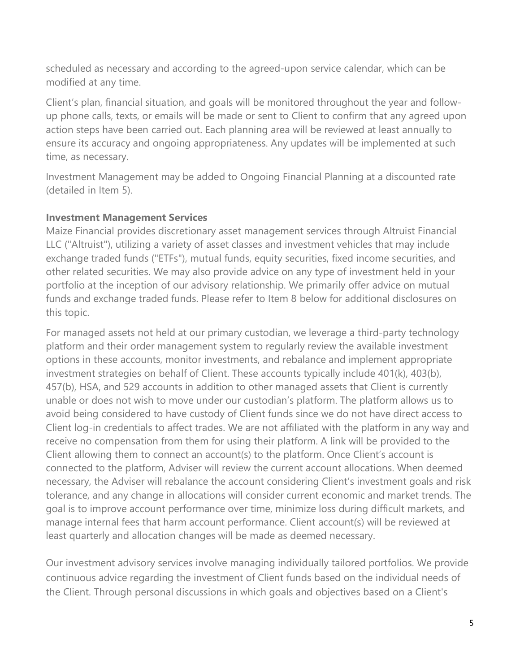scheduled as necessary and according to the agreed-upon service calendar, which can be modified at any time.

Client's plan, financial situation, and goals will be monitored throughout the year and followup phone calls, texts, or emails will be made or sent to Client to confirm that any agreed upon action steps have been carried out. Each planning area will be reviewed at least annually to ensure its accuracy and ongoing appropriateness. Any updates will be implemented at such time, as necessary.

Investment Management may be added to Ongoing Financial Planning at a discounted rate (detailed in Item 5).

#### Investment Management Services

Maize Financial provides discretionary asset management services through Altruist Financial LLC ("Altruist"), utilizing a variety of asset classes and investment vehicles that may include exchange traded funds ("ETFs"), mutual funds, equity securities, fixed income securities, and other related securities. We may also provide advice on any type of investment held in your portfolio at the inception of our advisory relationship. We primarily offer advice on mutual funds and exchange traded funds. Please refer to Item 8 below for additional disclosures on this topic.

For managed assets not held at our primary custodian, we leverage a third-party technology platform and their order management system to regularly review the available investment options in these accounts, monitor investments, and rebalance and implement appropriate investment strategies on behalf of Client. These accounts typically include 401(k), 403(b), 457(b), HSA, and 529 accounts in addition to other managed assets that Client is currently unable or does not wish to move under our custodian's platform. The platform allows us to avoid being considered to have custody of Client funds since we do not have direct access to Client log-in credentials to affect trades. We are not affiliated with the platform in any way and receive no compensation from them for using their platform. A link will be provided to the Client allowing them to connect an account(s) to the platform. Once Client's account is connected to the platform, Adviser will review the current account allocations. When deemed necessary, the Adviser will rebalance the account considering Client's investment goals and risk tolerance, and any change in allocations will consider current economic and market trends. The goal is to improve account performance over time, minimize loss during difficult markets, and manage internal fees that harm account performance. Client account(s) will be reviewed at least quarterly and allocation changes will be made as deemed necessary.

Our investment advisory services involve managing individually tailored portfolios. We provide continuous advice regarding the investment of Client funds based on the individual needs of the Client. Through personal discussions in which goals and objectives based on a Client's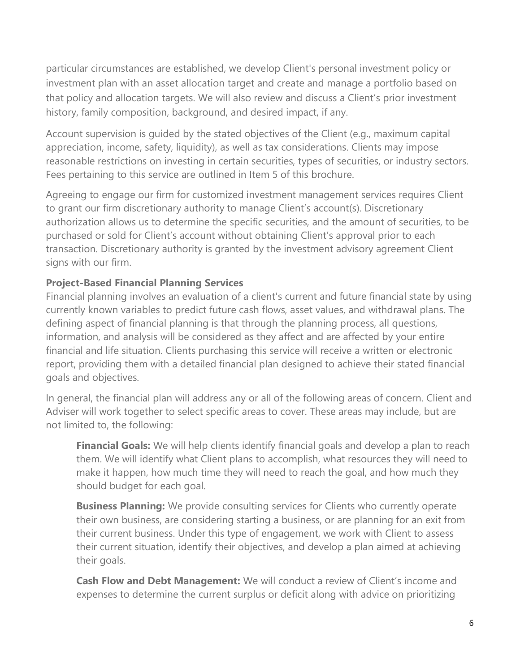particular circumstances are established, we develop Client's personal investment policy or investment plan with an asset allocation target and create and manage a portfolio based on that policy and allocation targets. We will also review and discuss a Client's prior investment history, family composition, background, and desired impact, if any.

Account supervision is guided by the stated objectives of the Client (e.g., maximum capital appreciation, income, safety, liquidity), as well as tax considerations. Clients may impose reasonable restrictions on investing in certain securities, types of securities, or industry sectors. Fees pertaining to this service are outlined in Item 5 of this brochure.

Agreeing to engage our firm for customized investment management services requires Client to grant our firm discretionary authority to manage Client's account(s). Discretionary authorization allows us to determine the specific securities, and the amount of securities, to be purchased or sold for Client's account without obtaining Client's approval prior to each transaction. Discretionary authority is granted by the investment advisory agreement Client signs with our firm.

#### Project-Based Financial Planning Services

Financial planning involves an evaluation of a client's current and future financial state by using currently known variables to predict future cash flows, asset values, and withdrawal plans. The defining aspect of financial planning is that through the planning process, all questions, information, and analysis will be considered as they affect and are affected by your entire financial and life situation. Clients purchasing this service will receive a written or electronic report, providing them with a detailed financial plan designed to achieve their stated financial goals and objectives.

In general, the financial plan will address any or all of the following areas of concern. Client and Adviser will work together to select specific areas to cover. These areas may include, but are not limited to, the following:

Financial Goals: We will help clients identify financial goals and develop a plan to reach them. We will identify what Client plans to accomplish, what resources they will need to make it happen, how much time they will need to reach the goal, and how much they should budget for each goal.

**Business Planning:** We provide consulting services for Clients who currently operate their own business, are considering starting a business, or are planning for an exit from their current business. Under this type of engagement, we work with Client to assess their current situation, identify their objectives, and develop a plan aimed at achieving their goals.

Cash Flow and Debt Management: We will conduct a review of Client's income and expenses to determine the current surplus or deficit along with advice on prioritizing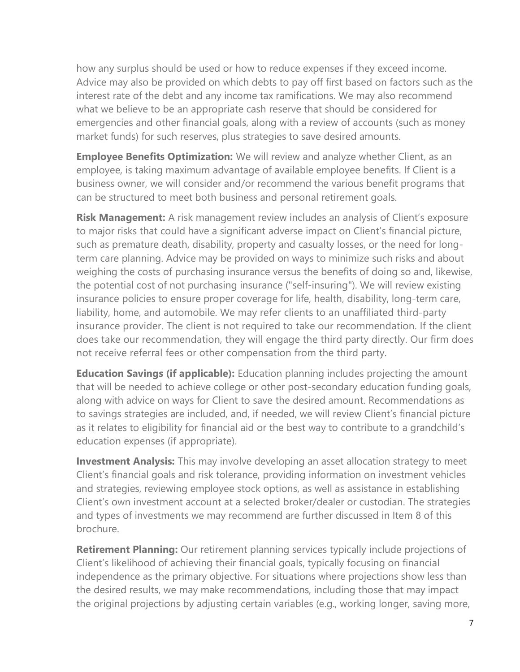how any surplus should be used or how to reduce expenses if they exceed income. Advice may also be provided on which debts to pay off first based on factors such as the interest rate of the debt and any income tax ramifications. We may also recommend what we believe to be an appropriate cash reserve that should be considered for emergencies and other financial goals, along with a review of accounts (such as money market funds) for such reserves, plus strategies to save desired amounts.

**Employee Benefits Optimization:** We will review and analyze whether Client, as an employee, is taking maximum advantage of available employee benefits. If Client is a business owner, we will consider and/or recommend the various benefit programs that can be structured to meet both business and personal retirement goals.

Risk Management: A risk management review includes an analysis of Client's exposure to major risks that could have a significant adverse impact on Client's financial picture, such as premature death, disability, property and casualty losses, or the need for longterm care planning. Advice may be provided on ways to minimize such risks and about weighing the costs of purchasing insurance versus the benefits of doing so and, likewise, the potential cost of not purchasing insurance ("self-insuring"). We will review existing insurance policies to ensure proper coverage for life, health, disability, long-term care, liability, home, and automobile. We may refer clients to an unaffiliated third-party insurance provider. The client is not required to take our recommendation. If the client does take our recommendation, they will engage the third party directly. Our firm does not receive referral fees or other compensation from the third party.

**Education Savings (if applicable):** Education planning includes projecting the amount that will be needed to achieve college or other post-secondary education funding goals, along with advice on ways for Client to save the desired amount. Recommendations as to savings strategies are included, and, if needed, we will review Client's financial picture as it relates to eligibility for financial aid or the best way to contribute to a grandchild's education expenses (if appropriate).

**Investment Analysis:** This may involve developing an asset allocation strategy to meet Client's financial goals and risk tolerance, providing information on investment vehicles and strategies, reviewing employee stock options, as well as assistance in establishing Client's own investment account at a selected broker/dealer or custodian. The strategies and types of investments we may recommend are further discussed in Item 8 of this brochure.

**Retirement Planning:** Our retirement planning services typically include projections of Client's likelihood of achieving their financial goals, typically focusing on financial independence as the primary objective. For situations where projections show less than the desired results, we may make recommendations, including those that may impact the original projections by adjusting certain variables (e.g., working longer, saving more,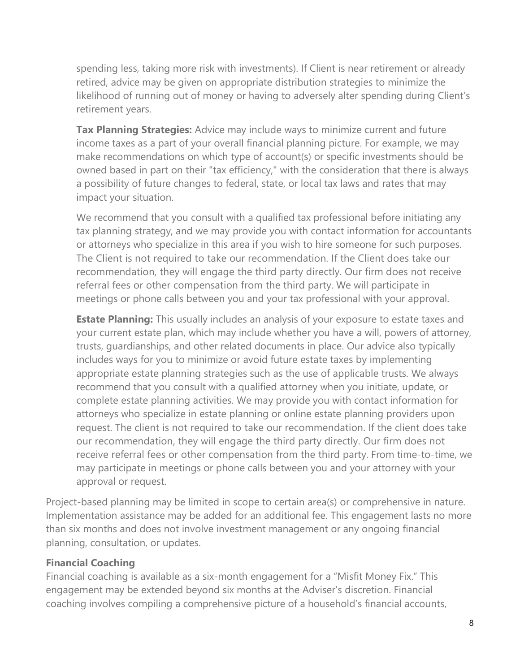spending less, taking more risk with investments). If Client is near retirement or already retired, advice may be given on appropriate distribution strategies to minimize the likelihood of running out of money or having to adversely alter spending during Client's retirement years.

Tax Planning Strategies: Advice may include ways to minimize current and future income taxes as a part of your overall financial planning picture. For example, we may make recommendations on which type of account(s) or specific investments should be owned based in part on their "tax efficiency," with the consideration that there is always a possibility of future changes to federal, state, or local tax laws and rates that may impact your situation.

We recommend that you consult with a qualified tax professional before initiating any tax planning strategy, and we may provide you with contact information for accountants or attorneys who specialize in this area if you wish to hire someone for such purposes. The Client is not required to take our recommendation. If the Client does take our recommendation, they will engage the third party directly. Our firm does not receive referral fees or other compensation from the third party. We will participate in meetings or phone calls between you and your tax professional with your approval.

**Estate Planning:** This usually includes an analysis of your exposure to estate taxes and your current estate plan, which may include whether you have a will, powers of attorney, trusts, guardianships, and other related documents in place. Our advice also typically includes ways for you to minimize or avoid future estate taxes by implementing appropriate estate planning strategies such as the use of applicable trusts. We always recommend that you consult with a qualified attorney when you initiate, update, or complete estate planning activities. We may provide you with contact information for attorneys who specialize in estate planning or online estate planning providers upon request. The client is not required to take our recommendation. If the client does take our recommendation, they will engage the third party directly. Our firm does not receive referral fees or other compensation from the third party. From time-to-time, we may participate in meetings or phone calls between you and your attorney with your approval or request.

Project-based planning may be limited in scope to certain area(s) or comprehensive in nature. Implementation assistance may be added for an additional fee. This engagement lasts no more than six months and does not involve investment management or any ongoing financial planning, consultation, or updates.

#### Financial Coaching

Financial coaching is available as a six-month engagement for a "Misfit Money Fix." This engagement may be extended beyond six months at the Adviser's discretion. Financial coaching involves compiling a comprehensive picture of a household's financial accounts,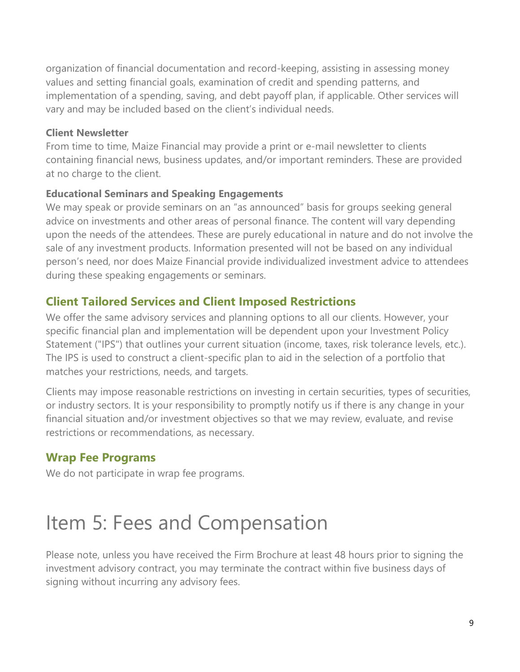organization of financial documentation and record-keeping, assisting in assessing money values and setting financial goals, examination of credit and spending patterns, and implementation of a spending, saving, and debt payoff plan, if applicable. Other services will vary and may be included based on the client's individual needs.

#### Client Newsletter

From time to time, Maize Financial may provide a print or e-mail newsletter to clients containing financial news, business updates, and/or important reminders. These are provided at no charge to the client.

#### Educational Seminars and Speaking Engagements

We may speak or provide seminars on an "as announced" basis for groups seeking general advice on investments and other areas of personal finance. The content will vary depending upon the needs of the attendees. These are purely educational in nature and do not involve the sale of any investment products. Information presented will not be based on any individual person's need, nor does Maize Financial provide individualized investment advice to attendees during these speaking engagements or seminars.

## Client Tailored Services and Client Imposed Restrictions

We offer the same advisory services and planning options to all our clients. However, your specific financial plan and implementation will be dependent upon your Investment Policy Statement ("IPS") that outlines your current situation (income, taxes, risk tolerance levels, etc.). The IPS is used to construct a client-specific plan to aid in the selection of a portfolio that matches your restrictions, needs, and targets.

Clients may impose reasonable restrictions on investing in certain securities, types of securities, or industry sectors. It is your responsibility to promptly notify us if there is any change in your financial situation and/or investment objectives so that we may review, evaluate, and revise restrictions or recommendations, as necessary.

## Wrap Fee Programs

We do not participate in wrap fee programs.

# Item 5: Fees and Compensation

Please note, unless you have received the Firm Brochure at least 48 hours prior to signing the investment advisory contract, you may terminate the contract within five business days of signing without incurring any advisory fees.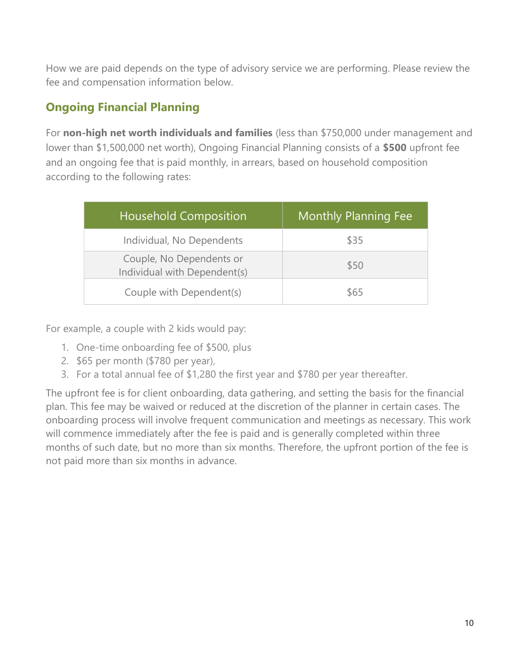How we are paid depends on the type of advisory service we are performing. Please review the fee and compensation information below.

# Ongoing Financial Planning

For non-high net worth individuals and families (less than \$750,000 under management and lower than \$1,500,000 net worth), Ongoing Financial Planning consists of a \$500 upfront fee and an ongoing fee that is paid monthly, in arrears, based on household composition according to the following rates:

| <b>Household Composition</b>                             | <b>Monthly Planning Fee</b> |
|----------------------------------------------------------|-----------------------------|
| Individual, No Dependents                                | \$35                        |
| Couple, No Dependents or<br>Individual with Dependent(s) | \$50                        |
| Couple with Dependent(s)                                 | \$65                        |

For example, a couple with 2 kids would pay:

- 1. One-time onboarding fee of \$500, plus
- 2. \$65 per month (\$780 per year),
- 3. For a total annual fee of \$1,280 the first year and \$780 per year thereafter.

The upfront fee is for client onboarding, data gathering, and setting the basis for the financial plan. This fee may be waived or reduced at the discretion of the planner in certain cases. The onboarding process will involve frequent communication and meetings as necessary. This work will commence immediately after the fee is paid and is generally completed within three months of such date, but no more than six months. Therefore, the upfront portion of the fee is not paid more than six months in advance.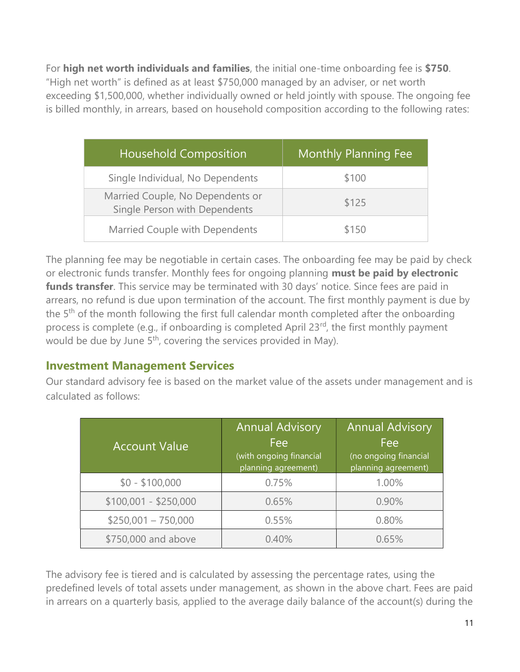For high net worth individuals and families, the initial one-time onboarding fee is \$750. "High net worth" is defined as at least \$750,000 managed by an adviser, or net worth exceeding \$1,500,000, whether individually owned or held jointly with spouse. The ongoing fee is billed monthly, in arrears, based on household composition according to the following rates:

| <b>Household Composition</b>                                      | <b>Monthly Planning Fee</b> |
|-------------------------------------------------------------------|-----------------------------|
| Single Individual, No Dependents                                  | \$100                       |
| Married Couple, No Dependents or<br>Single Person with Dependents | \$125                       |
| Married Couple with Dependents                                    | \$150                       |

The planning fee may be negotiable in certain cases. The onboarding fee may be paid by check or electronic funds transfer. Monthly fees for ongoing planning must be paid by electronic funds transfer. This service may be terminated with 30 days' notice. Since fees are paid in arrears, no refund is due upon termination of the account. The first monthly payment is due by the  $5<sup>th</sup>$  of the month following the first full calendar month completed after the onboarding process is complete (e.g., if onboarding is completed April 23<sup>rd</sup>, the first monthly payment would be due by June  $5<sup>th</sup>$ , covering the services provided in May).

### Investment Management Services

Our standard advisory fee is based on the market value of the assets under management and is calculated as follows:

| <b>Account Value</b>  | <b>Annual Advisory</b><br>Fee<br>(with ongoing financial<br>planning agreement) | <b>Annual Advisory</b><br>Fee<br>(no ongoing financial<br>planning agreement) |
|-----------------------|---------------------------------------------------------------------------------|-------------------------------------------------------------------------------|
| $$0 - $100,000$       | 0.75%                                                                           | 1.00%                                                                         |
| $$100,001 - $250,000$ | 0.65%                                                                           | 0.90%                                                                         |
| $$250,001 - 750,000$  | 0.55%                                                                           | 0.80%                                                                         |
| \$750,000 and above   | 0.40%                                                                           | 0.65%                                                                         |

The advisory fee is tiered and is calculated by assessing the percentage rates, using the predefined levels of total assets under management, as shown in the above chart. Fees are paid in arrears on a quarterly basis, applied to the average daily balance of the account(s) during the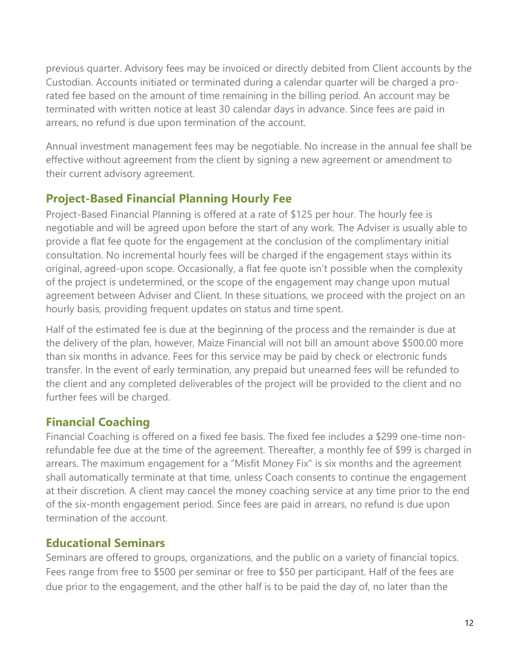previous quarter. Advisory fees may be invoiced or directly debited from Client accounts by the Custodian. Accounts initiated or terminated during a calendar quarter will be charged a prorated fee based on the amount of time remaining in the billing period. An account may be terminated with written notice at least 30 calendar days in advance. Since fees are paid in arrears, no refund is due upon termination of the account.

Annual investment management fees may be negotiable. No increase in the annual fee shall be effective without agreement from the client by signing a new agreement or amendment to their current advisory agreement.

## Project-Based Financial Planning Hourly Fee

Project-Based Financial Planning is offered at a rate of \$125 per hour. The hourly fee is negotiable and will be agreed upon before the start of any work. The Adviser is usually able to provide a flat fee quote for the engagement at the conclusion of the complimentary initial consultation. No incremental hourly fees will be charged if the engagement stays within its original, agreed-upon scope. Occasionally, a flat fee quote isn't possible when the complexity of the project is undetermined, or the scope of the engagement may change upon mutual agreement between Adviser and Client. In these situations, we proceed with the project on an hourly basis, providing frequent updates on status and time spent.

Half of the estimated fee is due at the beginning of the process and the remainder is due at the delivery of the plan, however, Maize Financial will not bill an amount above \$500.00 more than six months in advance. Fees for this service may be paid by check or electronic funds transfer. In the event of early termination, any prepaid but unearned fees will be refunded to the client and any completed deliverables of the project will be provided to the client and no further fees will be charged.

### Financial Coaching

Financial Coaching is offered on a fixed fee basis. The fixed fee includes a \$299 one-time nonrefundable fee due at the time of the agreement. Thereafter, a monthly fee of \$99 is charged in arrears. The maximum engagement for a "Misfit Money Fix" is six months and the agreement shall automatically terminate at that time, unless Coach consents to continue the engagement at their discretion. A client may cancel the money coaching service at any time prior to the end of the six-month engagement period. Since fees are paid in arrears, no refund is due upon termination of the account.

### Educational Seminars

Seminars are offered to groups, organizations, and the public on a variety of financial topics. Fees range from free to \$500 per seminar or free to \$50 per participant. Half of the fees are due prior to the engagement, and the other half is to be paid the day of, no later than the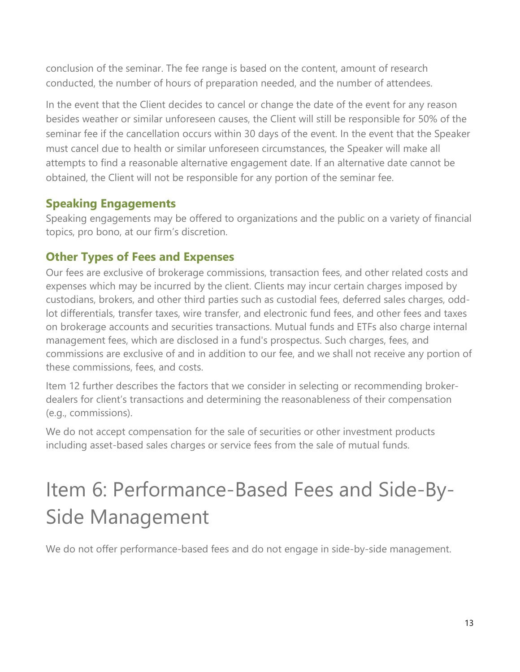conclusion of the seminar. The fee range is based on the content, amount of research conducted, the number of hours of preparation needed, and the number of attendees.

In the event that the Client decides to cancel or change the date of the event for any reason besides weather or similar unforeseen causes, the Client will still be responsible for 50% of the seminar fee if the cancellation occurs within 30 days of the event. In the event that the Speaker must cancel due to health or similar unforeseen circumstances, the Speaker will make all attempts to find a reasonable alternative engagement date. If an alternative date cannot be obtained, the Client will not be responsible for any portion of the seminar fee.

### Speaking Engagements

Speaking engagements may be offered to organizations and the public on a variety of financial topics, pro bono, at our firm's discretion.

### Other Types of Fees and Expenses

Our fees are exclusive of brokerage commissions, transaction fees, and other related costs and expenses which may be incurred by the client. Clients may incur certain charges imposed by custodians, brokers, and other third parties such as custodial fees, deferred sales charges, oddlot differentials, transfer taxes, wire transfer, and electronic fund fees, and other fees and taxes on brokerage accounts and securities transactions. Mutual funds and ETFs also charge internal management fees, which are disclosed in a fund's prospectus. Such charges, fees, and commissions are exclusive of and in addition to our fee, and we shall not receive any portion of these commissions, fees, and costs.

Item 12 further describes the factors that we consider in selecting or recommending brokerdealers for client's transactions and determining the reasonableness of their compensation (e.g., commissions).

We do not accept compensation for the sale of securities or other investment products including asset-based sales charges or service fees from the sale of mutual funds.

# Item 6: Performance-Based Fees and Side-By-Side Management

We do not offer performance-based fees and do not engage in side-by-side management.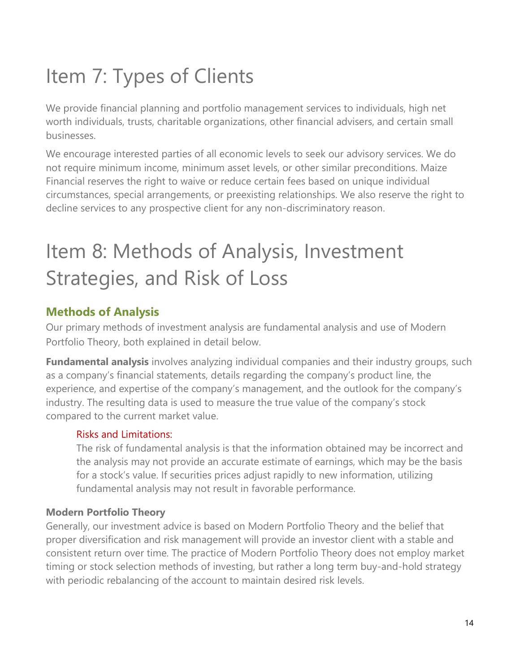# Item 7: Types of Clients

We provide financial planning and portfolio management services to individuals, high net worth individuals, trusts, charitable organizations, other financial advisers, and certain small businesses.

We encourage interested parties of all economic levels to seek our advisory services. We do not require minimum income, minimum asset levels, or other similar preconditions. Maize Financial reserves the right to waive or reduce certain fees based on unique individual circumstances, special arrangements, or preexisting relationships. We also reserve the right to decline services to any prospective client for any non-discriminatory reason.

# Item 8: Methods of Analysis, Investment Strategies, and Risk of Loss

## Methods of Analysis

Our primary methods of investment analysis are fundamental analysis and use of Modern Portfolio Theory, both explained in detail below.

**Fundamental analysis** involves analyzing individual companies and their industry groups, such as a company's financial statements, details regarding the company's product line, the experience, and expertise of the company's management, and the outlook for the company's industry. The resulting data is used to measure the true value of the company's stock compared to the current market value.

#### Risks and Limitations:

The risk of fundamental analysis is that the information obtained may be incorrect and the analysis may not provide an accurate estimate of earnings, which may be the basis for a stock's value. If securities prices adjust rapidly to new information, utilizing fundamental analysis may not result in favorable performance.

#### Modern Portfolio Theory

Generally, our investment advice is based on Modern Portfolio Theory and the belief that proper diversification and risk management will provide an investor client with a stable and consistent return over time. The practice of Modern Portfolio Theory does not employ market timing or stock selection methods of investing, but rather a long term buy-and-hold strategy with periodic rebalancing of the account to maintain desired risk levels.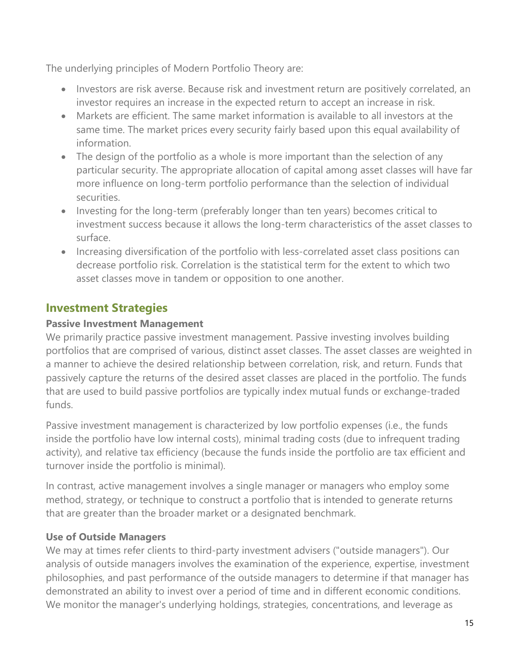The underlying principles of Modern Portfolio Theory are:

- Investors are risk averse. Because risk and investment return are positively correlated, an investor requires an increase in the expected return to accept an increase in risk.
- Markets are efficient. The same market information is available to all investors at the same time. The market prices every security fairly based upon this equal availability of information.
- The design of the portfolio as a whole is more important than the selection of any particular security. The appropriate allocation of capital among asset classes will have far more influence on long-term portfolio performance than the selection of individual securities.
- Investing for the long-term (preferably longer than ten years) becomes critical to investment success because it allows the long-term characteristics of the asset classes to surface.
- Increasing diversification of the portfolio with less-correlated asset class positions can decrease portfolio risk. Correlation is the statistical term for the extent to which two asset classes move in tandem or opposition to one another.

## Investment Strategies

#### Passive Investment Management

We primarily practice passive investment management. Passive investing involves building portfolios that are comprised of various, distinct asset classes. The asset classes are weighted in a manner to achieve the desired relationship between correlation, risk, and return. Funds that passively capture the returns of the desired asset classes are placed in the portfolio. The funds that are used to build passive portfolios are typically index mutual funds or exchange-traded funds.

Passive investment management is characterized by low portfolio expenses (i.e., the funds inside the portfolio have low internal costs), minimal trading costs (due to infrequent trading activity), and relative tax efficiency (because the funds inside the portfolio are tax efficient and turnover inside the portfolio is minimal).

In contrast, active management involves a single manager or managers who employ some method, strategy, or technique to construct a portfolio that is intended to generate returns that are greater than the broader market or a designated benchmark.

#### Use of Outside Managers

We may at times refer clients to third-party investment advisers ("outside managers"). Our analysis of outside managers involves the examination of the experience, expertise, investment philosophies, and past performance of the outside managers to determine if that manager has demonstrated an ability to invest over a period of time and in different economic conditions. We monitor the manager's underlying holdings, strategies, concentrations, and leverage as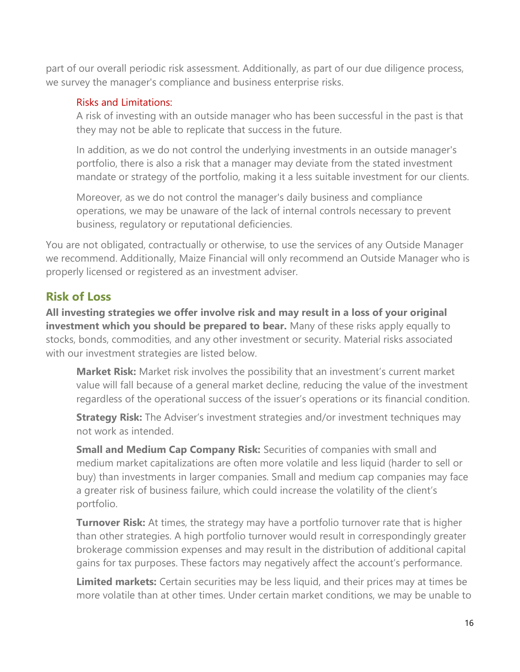part of our overall periodic risk assessment. Additionally, as part of our due diligence process, we survey the manager's compliance and business enterprise risks.

#### Risks and Limitations:

A risk of investing with an outside manager who has been successful in the past is that they may not be able to replicate that success in the future.

In addition, as we do not control the underlying investments in an outside manager's portfolio, there is also a risk that a manager may deviate from the stated investment mandate or strategy of the portfolio, making it a less suitable investment for our clients.

Moreover, as we do not control the manager's daily business and compliance operations, we may be unaware of the lack of internal controls necessary to prevent business, regulatory or reputational deficiencies.

You are not obligated, contractually or otherwise, to use the services of any Outside Manager we recommend. Additionally, Maize Financial will only recommend an Outside Manager who is properly licensed or registered as an investment adviser.

### Risk of Loss

All investing strategies we offer involve risk and may result in a loss of your original investment which you should be prepared to bear. Many of these risks apply equally to stocks, bonds, commodities, and any other investment or security. Material risks associated with our investment strategies are listed below.

**Market Risk:** Market risk involves the possibility that an investment's current market value will fall because of a general market decline, reducing the value of the investment regardless of the operational success of the issuer's operations or its financial condition.

**Strategy Risk:** The Adviser's investment strategies and/or investment techniques may not work as intended.

**Small and Medium Cap Company Risk:** Securities of companies with small and medium market capitalizations are often more volatile and less liquid (harder to sell or buy) than investments in larger companies. Small and medium cap companies may face a greater risk of business failure, which could increase the volatility of the client's portfolio.

**Turnover Risk:** At times, the strategy may have a portfolio turnover rate that is higher than other strategies. A high portfolio turnover would result in correspondingly greater brokerage commission expenses and may result in the distribution of additional capital gains for tax purposes. These factors may negatively affect the account's performance.

Limited markets: Certain securities may be less liquid, and their prices may at times be more volatile than at other times. Under certain market conditions, we may be unable to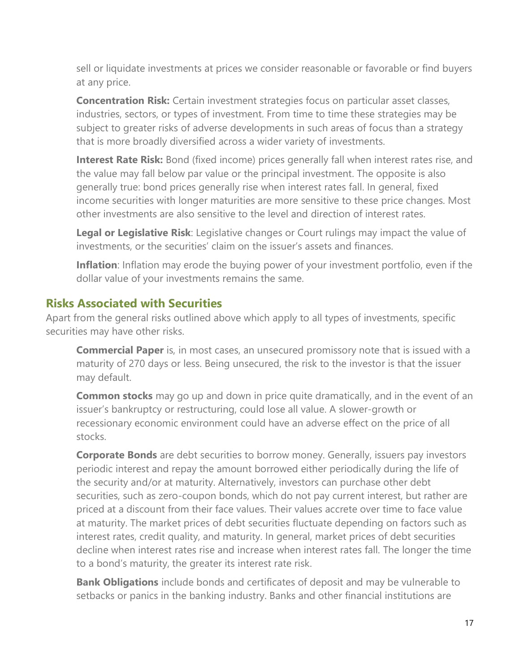sell or liquidate investments at prices we consider reasonable or favorable or find buyers at any price.

**Concentration Risk:** Certain investment strategies focus on particular asset classes, industries, sectors, or types of investment. From time to time these strategies may be subject to greater risks of adverse developments in such areas of focus than a strategy that is more broadly diversified across a wider variety of investments.

Interest Rate Risk: Bond (fixed income) prices generally fall when interest rates rise, and the value may fall below par value or the principal investment. The opposite is also generally true: bond prices generally rise when interest rates fall. In general, fixed income securities with longer maturities are more sensitive to these price changes. Most other investments are also sensitive to the level and direction of interest rates.

Legal or Legislative Risk: Legislative changes or Court rulings may impact the value of investments, or the securities' claim on the issuer's assets and finances.

Inflation: Inflation may erode the buying power of your investment portfolio, even if the dollar value of your investments remains the same.

### Risks Associated with Securities

Apart from the general risks outlined above which apply to all types of investments, specific securities may have other risks.

**Commercial Paper** is, in most cases, an unsecured promissory note that is issued with a maturity of 270 days or less. Being unsecured, the risk to the investor is that the issuer may default.

**Common stocks** may go up and down in price quite dramatically, and in the event of an issuer's bankruptcy or restructuring, could lose all value. A slower-growth or recessionary economic environment could have an adverse effect on the price of all stocks.

Corporate Bonds are debt securities to borrow money. Generally, issuers pay investors periodic interest and repay the amount borrowed either periodically during the life of the security and/or at maturity. Alternatively, investors can purchase other debt securities, such as zero-coupon bonds, which do not pay current interest, but rather are priced at a discount from their face values. Their values accrete over time to face value at maturity. The market prices of debt securities fluctuate depending on factors such as interest rates, credit quality, and maturity. In general, market prices of debt securities decline when interest rates rise and increase when interest rates fall. The longer the time to a bond's maturity, the greater its interest rate risk.

**Bank Obligations** include bonds and certificates of deposit and may be vulnerable to setbacks or panics in the banking industry. Banks and other financial institutions are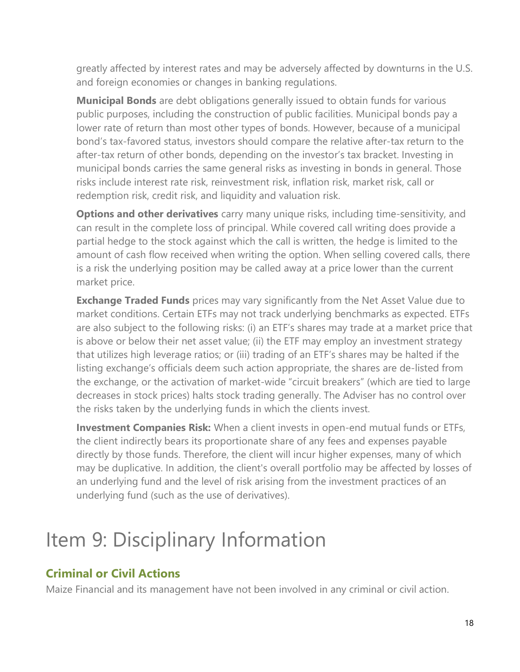greatly affected by interest rates and may be adversely affected by downturns in the U.S. and foreign economies or changes in banking regulations.

Municipal Bonds are debt obligations generally issued to obtain funds for various public purposes, including the construction of public facilities. Municipal bonds pay a lower rate of return than most other types of bonds. However, because of a municipal bond's tax-favored status, investors should compare the relative after-tax return to the after-tax return of other bonds, depending on the investor's tax bracket. Investing in municipal bonds carries the same general risks as investing in bonds in general. Those risks include interest rate risk, reinvestment risk, inflation risk, market risk, call or redemption risk, credit risk, and liquidity and valuation risk.

Options and other derivatives carry many unique risks, including time-sensitivity, and can result in the complete loss of principal. While covered call writing does provide a partial hedge to the stock against which the call is written, the hedge is limited to the amount of cash flow received when writing the option. When selling covered calls, there is a risk the underlying position may be called away at a price lower than the current market price.

**Exchange Traded Funds** prices may vary significantly from the Net Asset Value due to market conditions. Certain ETFs may not track underlying benchmarks as expected. ETFs are also subject to the following risks: (i) an ETF's shares may trade at a market price that is above or below their net asset value; (ii) the ETF may employ an investment strategy that utilizes high leverage ratios; or (iii) trading of an ETF's shares may be halted if the listing exchange's officials deem such action appropriate, the shares are de-listed from the exchange, or the activation of market-wide "circuit breakers" (which are tied to large decreases in stock prices) halts stock trading generally. The Adviser has no control over the risks taken by the underlying funds in which the clients invest.

**Investment Companies Risk:** When a client invests in open-end mutual funds or ETFs, the client indirectly bears its proportionate share of any fees and expenses payable directly by those funds. Therefore, the client will incur higher expenses, many of which may be duplicative. In addition, the client's overall portfolio may be affected by losses of an underlying fund and the level of risk arising from the investment practices of an underlying fund (such as the use of derivatives).

# Item 9: Disciplinary Information

## Criminal or Civil Actions

Maize Financial and its management have not been involved in any criminal or civil action.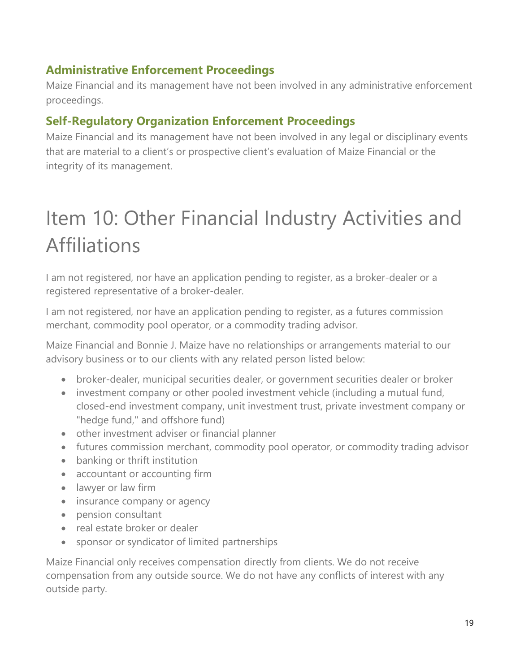## Administrative Enforcement Proceedings

Maize Financial and its management have not been involved in any administrative enforcement proceedings.

## Self-Regulatory Organization Enforcement Proceedings

Maize Financial and its management have not been involved in any legal or disciplinary events that are material to a client's or prospective client's evaluation of Maize Financial or the integrity of its management.

# Item 10: Other Financial Industry Activities and Affiliations

I am not registered, nor have an application pending to register, as a broker-dealer or a registered representative of a broker-dealer.

I am not registered, nor have an application pending to register, as a futures commission merchant, commodity pool operator, or a commodity trading advisor.

Maize Financial and Bonnie J. Maize have no relationships or arrangements material to our advisory business or to our clients with any related person listed below:

- broker-dealer, municipal securities dealer, or government securities dealer or broker
- investment company or other pooled investment vehicle (including a mutual fund, closed-end investment company, unit investment trust, private investment company or "hedge fund," and offshore fund)
- other investment adviser or financial planner
- futures commission merchant, commodity pool operator, or commodity trading advisor
- banking or thrift institution
- accountant or accounting firm
- lawyer or law firm
- insurance company or agency
- pension consultant
- real estate broker or dealer
- sponsor or syndicator of limited partnerships

Maize Financial only receives compensation directly from clients. We do not receive compensation from any outside source. We do not have any conflicts of interest with any outside party.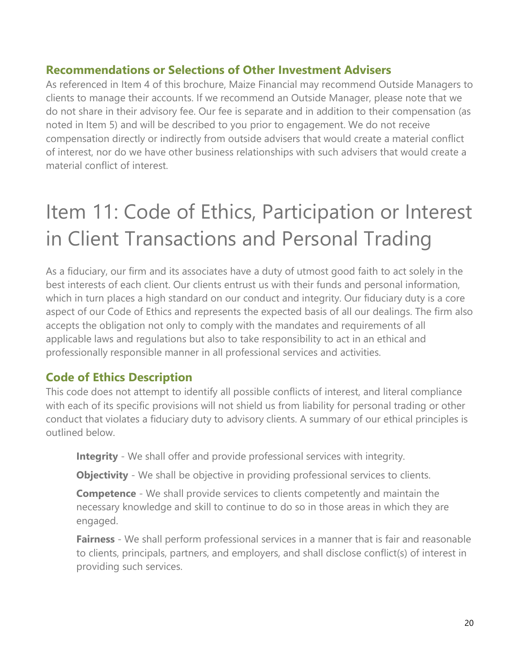### Recommendations or Selections of Other Investment Advisers

As referenced in Item 4 of this brochure, Maize Financial may recommend Outside Managers to clients to manage their accounts. If we recommend an Outside Manager, please note that we do not share in their advisory fee. Our fee is separate and in addition to their compensation (as noted in Item 5) and will be described to you prior to engagement. We do not receive compensation directly or indirectly from outside advisers that would create a material conflict of interest, nor do we have other business relationships with such advisers that would create a material conflict of interest.

# Item 11: Code of Ethics, Participation or Interest in Client Transactions and Personal Trading

As a fiduciary, our firm and its associates have a duty of utmost good faith to act solely in the best interests of each client. Our clients entrust us with their funds and personal information, which in turn places a high standard on our conduct and integrity. Our fiduciary duty is a core aspect of our Code of Ethics and represents the expected basis of all our dealings. The firm also accepts the obligation not only to comply with the mandates and requirements of all applicable laws and regulations but also to take responsibility to act in an ethical and professionally responsible manner in all professional services and activities.

### Code of Ethics Description

This code does not attempt to identify all possible conflicts of interest, and literal compliance with each of its specific provisions will not shield us from liability for personal trading or other conduct that violates a fiduciary duty to advisory clients. A summary of our ethical principles is outlined below.

**Integrity** - We shall offer and provide professional services with integrity.

**Objectivity** - We shall be objective in providing professional services to clients.

**Competence** - We shall provide services to clients competently and maintain the necessary knowledge and skill to continue to do so in those areas in which they are engaged.

**Fairness** - We shall perform professional services in a manner that is fair and reasonable to clients, principals, partners, and employers, and shall disclose conflict(s) of interest in providing such services.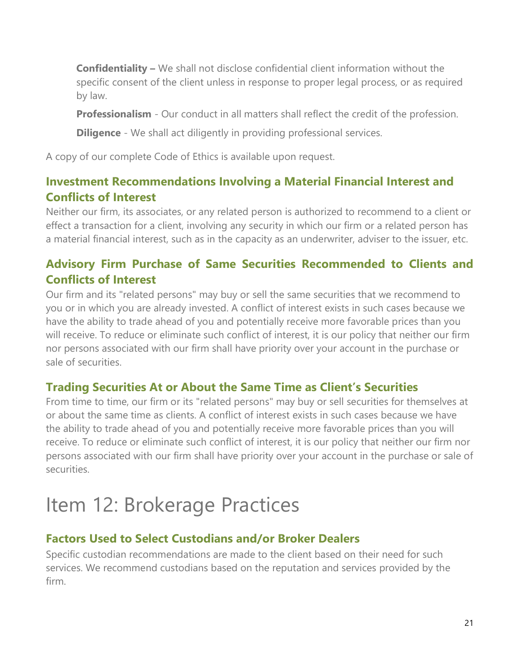Confidentiality – We shall not disclose confidential client information without the specific consent of the client unless in response to proper legal process, or as required by law.

**Professionalism** - Our conduct in all matters shall reflect the credit of the profession.

**Diligence** - We shall act diligently in providing professional services.

A copy of our complete Code of Ethics is available upon request.

## Investment Recommendations Involving a Material Financial Interest and Conflicts of Interest

Neither our firm, its associates, or any related person is authorized to recommend to a client or effect a transaction for a client, involving any security in which our firm or a related person has a material financial interest, such as in the capacity as an underwriter, adviser to the issuer, etc.

## Advisory Firm Purchase of Same Securities Recommended to Clients and Conflicts of Interest

Our firm and its "related persons" may buy or sell the same securities that we recommend to you or in which you are already invested. A conflict of interest exists in such cases because we have the ability to trade ahead of you and potentially receive more favorable prices than you will receive. To reduce or eliminate such conflict of interest, it is our policy that neither our firm nor persons associated with our firm shall have priority over your account in the purchase or sale of securities.

### Trading Securities At or About the Same Time as Client's Securities

From time to time, our firm or its "related persons" may buy or sell securities for themselves at or about the same time as clients. A conflict of interest exists in such cases because we have the ability to trade ahead of you and potentially receive more favorable prices than you will receive. To reduce or eliminate such conflict of interest, it is our policy that neither our firm nor persons associated with our firm shall have priority over your account in the purchase or sale of securities.

# Item 12: Brokerage Practices

## Factors Used to Select Custodians and/or Broker Dealers

Specific custodian recommendations are made to the client based on their need for such services. We recommend custodians based on the reputation and services provided by the firm.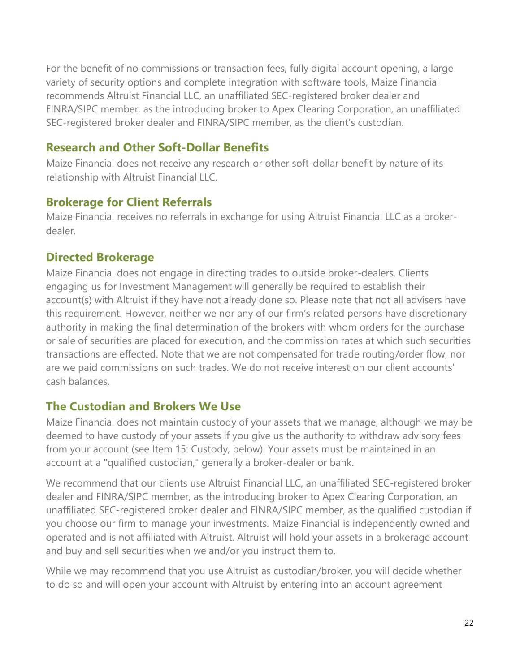For the benefit of no commissions or transaction fees, fully digital account opening, a large variety of security options and complete integration with software tools, Maize Financial recommends Altruist Financial LLC, an unaffiliated SEC-registered broker dealer and FINRA/SIPC member, as the introducing broker to Apex Clearing Corporation, an unaffiliated SEC-registered broker dealer and FINRA/SIPC member, as the client's custodian.

### Research and Other Soft-Dollar Benefits

Maize Financial does not receive any research or other soft-dollar benefit by nature of its relationship with Altruist Financial LLC.

### Brokerage for Client Referrals

Maize Financial receives no referrals in exchange for using Altruist Financial LLC as a brokerdealer.

## Directed Brokerage

Maize Financial does not engage in directing trades to outside broker-dealers. Clients engaging us for Investment Management will generally be required to establish their account(s) with Altruist if they have not already done so. Please note that not all advisers have this requirement. However, neither we nor any of our firm's related persons have discretionary authority in making the final determination of the brokers with whom orders for the purchase or sale of securities are placed for execution, and the commission rates at which such securities transactions are effected. Note that we are not compensated for trade routing/order flow, nor are we paid commissions on such trades. We do not receive interest on our client accounts' cash balances.

### The Custodian and Brokers We Use

Maize Financial does not maintain custody of your assets that we manage, although we may be deemed to have custody of your assets if you give us the authority to withdraw advisory fees from your account (see Item 15: Custody, below). Your assets must be maintained in an account at a "qualified custodian," generally a broker-dealer or bank.

We recommend that our clients use Altruist Financial LLC, an unaffiliated SEC-registered broker dealer and FINRA/SIPC member, as the introducing broker to Apex Clearing Corporation, an unaffiliated SEC-registered broker dealer and FINRA/SIPC member, as the qualified custodian if you choose our firm to manage your investments. Maize Financial is independently owned and operated and is not affiliated with Altruist. Altruist will hold your assets in a brokerage account and buy and sell securities when we and/or you instruct them to.

While we may recommend that you use Altruist as custodian/broker, you will decide whether to do so and will open your account with Altruist by entering into an account agreement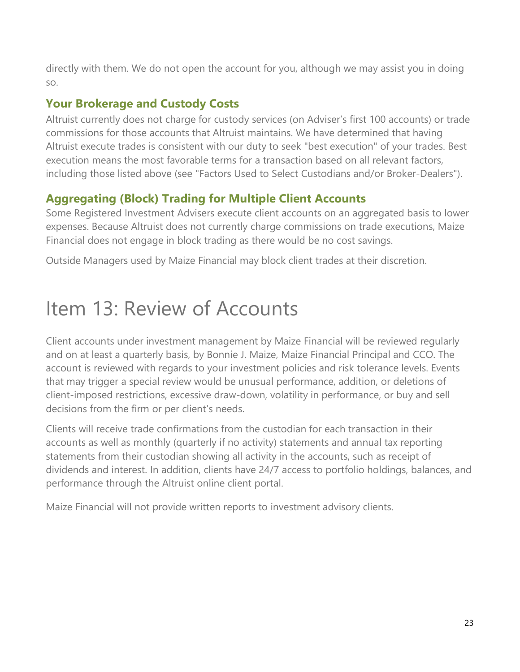directly with them. We do not open the account for you, although we may assist you in doing so.

## Your Brokerage and Custody Costs

Altruist currently does not charge for custody services (on Adviser's first 100 accounts) or trade commissions for those accounts that Altruist maintains. We have determined that having Altruist execute trades is consistent with our duty to seek "best execution" of your trades. Best execution means the most favorable terms for a transaction based on all relevant factors, including those listed above (see "Factors Used to Select Custodians and/or Broker-Dealers").

## Aggregating (Block) Trading for Multiple Client Accounts

Some Registered Investment Advisers execute client accounts on an aggregated basis to lower expenses. Because Altruist does not currently charge commissions on trade executions, Maize Financial does not engage in block trading as there would be no cost savings.

Outside Managers used by Maize Financial may block client trades at their discretion.

# Item 13: Review of Accounts

Client accounts under investment management by Maize Financial will be reviewed regularly and on at least a quarterly basis, by Bonnie J. Maize, Maize Financial Principal and CCO. The account is reviewed with regards to your investment policies and risk tolerance levels. Events that may trigger a special review would be unusual performance, addition, or deletions of client-imposed restrictions, excessive draw-down, volatility in performance, or buy and sell decisions from the firm or per client's needs.

Clients will receive trade confirmations from the custodian for each transaction in their accounts as well as monthly (quarterly if no activity) statements and annual tax reporting statements from their custodian showing all activity in the accounts, such as receipt of dividends and interest. In addition, clients have 24/7 access to portfolio holdings, balances, and performance through the Altruist online client portal.

Maize Financial will not provide written reports to investment advisory clients.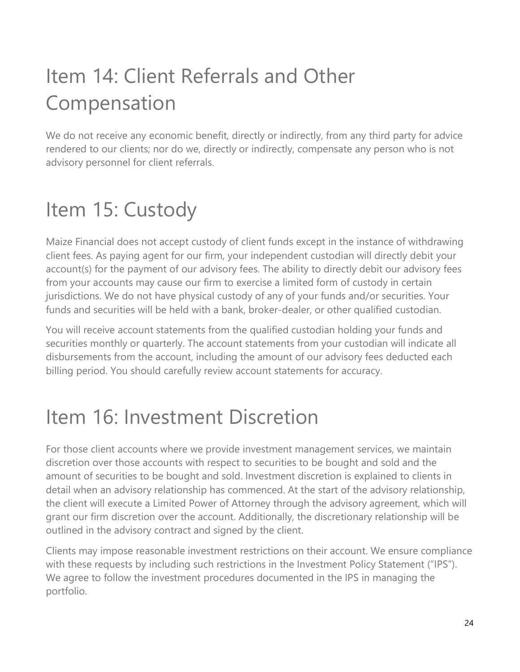# Item 14: Client Referrals and Other Compensation

We do not receive any economic benefit, directly or indirectly, from any third party for advice rendered to our clients; nor do we, directly or indirectly, compensate any person who is not advisory personnel for client referrals.

# Item 15: Custody

Maize Financial does not accept custody of client funds except in the instance of withdrawing client fees. As paying agent for our firm, your independent custodian will directly debit your account(s) for the payment of our advisory fees. The ability to directly debit our advisory fees from your accounts may cause our firm to exercise a limited form of custody in certain jurisdictions. We do not have physical custody of any of your funds and/or securities. Your funds and securities will be held with a bank, broker-dealer, or other qualified custodian.

You will receive account statements from the qualified custodian holding your funds and securities monthly or quarterly. The account statements from your custodian will indicate all disbursements from the account, including the amount of our advisory fees deducted each billing period. You should carefully review account statements for accuracy.

# Item 16: Investment Discretion

For those client accounts where we provide investment management services, we maintain discretion over those accounts with respect to securities to be bought and sold and the amount of securities to be bought and sold. Investment discretion is explained to clients in detail when an advisory relationship has commenced. At the start of the advisory relationship, the client will execute a Limited Power of Attorney through the advisory agreement, which will grant our firm discretion over the account. Additionally, the discretionary relationship will be outlined in the advisory contract and signed by the client.

Clients may impose reasonable investment restrictions on their account. We ensure compliance with these requests by including such restrictions in the Investment Policy Statement ("IPS"). We agree to follow the investment procedures documented in the IPS in managing the portfolio.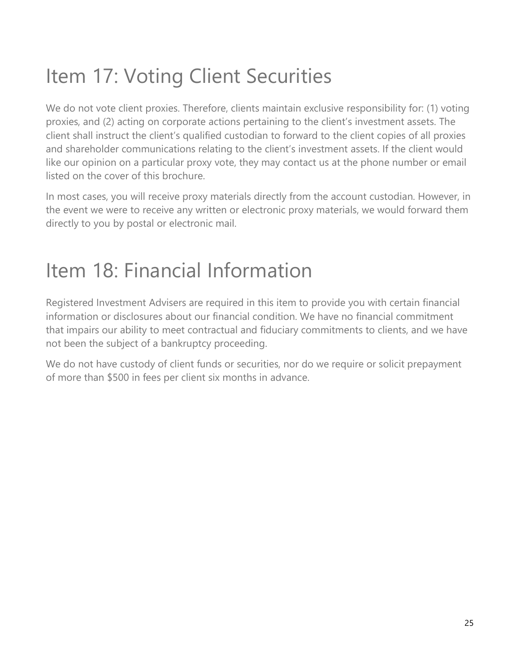# Item 17: Voting Client Securities

We do not vote client proxies. Therefore, clients maintain exclusive responsibility for: (1) voting proxies, and (2) acting on corporate actions pertaining to the client's investment assets. The client shall instruct the client's qualified custodian to forward to the client copies of all proxies and shareholder communications relating to the client's investment assets. If the client would like our opinion on a particular proxy vote, they may contact us at the phone number or email listed on the cover of this brochure.

In most cases, you will receive proxy materials directly from the account custodian. However, in the event we were to receive any written or electronic proxy materials, we would forward them directly to you by postal or electronic mail.

# Item 18: Financial Information

Registered Investment Advisers are required in this item to provide you with certain financial information or disclosures about our financial condition. We have no financial commitment that impairs our ability to meet contractual and fiduciary commitments to clients, and we have not been the subject of a bankruptcy proceeding.

We do not have custody of client funds or securities, nor do we require or solicit prepayment of more than \$500 in fees per client six months in advance.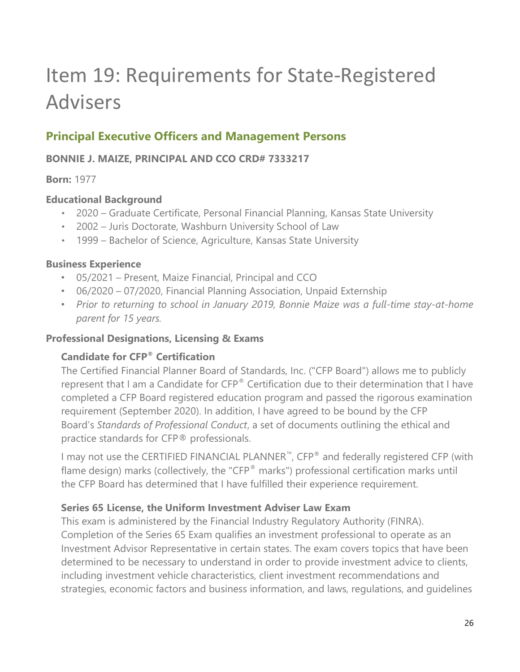# Item 19: Requirements for State-Registered Advisers

## Principal Executive Officers and Management Persons

#### BONNIE J. MAIZE, PRINCIPAL AND CCO CRD# 7333217

#### Born: 1977

#### Educational Background

- 2020 Graduate Certificate, Personal Financial Planning, Kansas State University
- ٠ 2002 Juris Doctorate, Washburn University School of Law
- ٠ 1999 Bachelor of Science, Agriculture, Kansas State University

#### Business Experience

- 05/2021 Present, Maize Financial, Principal and CCO
- 06/2020 07/2020, Financial Planning Association, Unpaid Externship
- Prior to returning to school in January 2019, Bonnie Maize was a full-time stay-at-home parent for 15 years.

#### Professional Designations, Licensing & Exams

#### Candidate for CFP® Certification

The Certified Financial Planner Board of Standards, Inc. ("CFP Board") allows me to publicly represent that I am a Candidate for CFP® Certification due to their determination that I have completed a CFP Board registered education program and passed the rigorous examination requirement (September 2020). In addition, I have agreed to be bound by the CFP Board's Standards of Professional Conduct, a set of documents outlining the ethical and practice standards for CFP® professionals.

I may not use the CERTIFIED FINANCIAL PLANNER™, CFP® and federally registered CFP (with flame design) marks (collectively, the "CFP® marks") professional certification marks until the CFP Board has determined that I have fulfilled their experience requirement.

#### Series 65 License, the Uniform Investment Adviser Law Exam

This exam is administered by the Financial Industry Regulatory Authority (FINRA). Completion of the Series 65 Exam qualifies an investment professional to operate as an Investment Advisor Representative in certain states. The exam covers topics that have been determined to be necessary to understand in order to provide investment advice to clients, including investment vehicle characteristics, client investment recommendations and strategies, economic factors and business information, and laws, regulations, and guidelines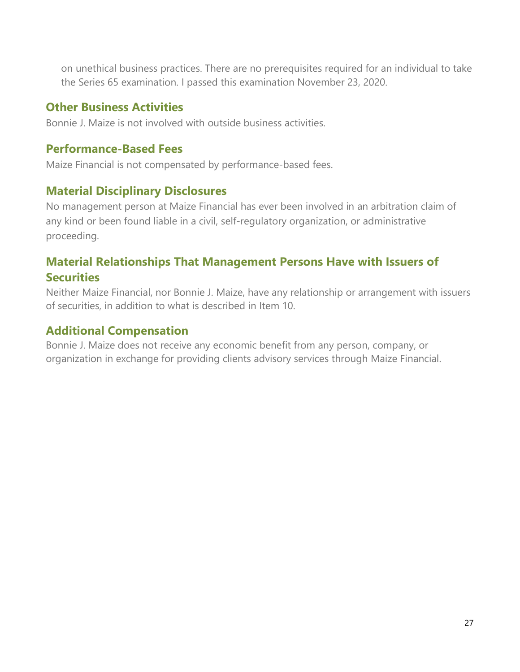on unethical business practices. There are no prerequisites required for an individual to take the Series 65 examination. I passed this examination November 23, 2020.

### Other Business Activities

Bonnie J. Maize is not involved with outside business activities.

### Performance-Based Fees

Maize Financial is not compensated by performance-based fees.

### Material Disciplinary Disclosures

No management person at Maize Financial has ever been involved in an arbitration claim of any kind or been found liable in a civil, self-regulatory organization, or administrative proceeding.

## Material Relationships That Management Persons Have with Issuers of **Securities**

Neither Maize Financial, nor Bonnie J. Maize, have any relationship or arrangement with issuers of securities, in addition to what is described in Item 10.

### Additional Compensation

Bonnie J. Maize does not receive any economic benefit from any person, company, or organization in exchange for providing clients advisory services through Maize Financial.